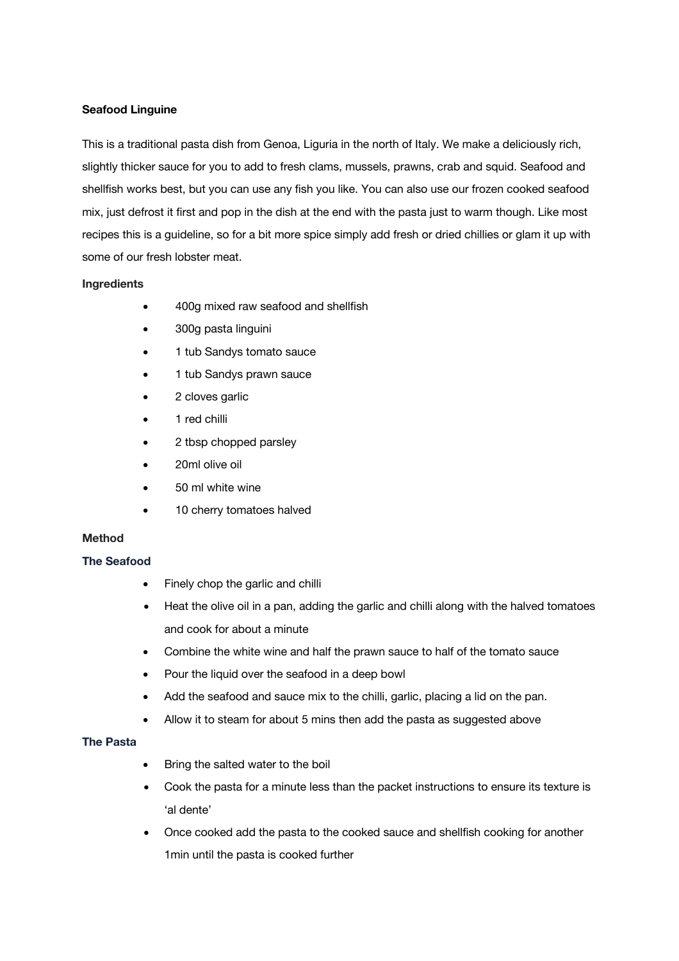### **Seafood Linguine**

This is a traditional pasta dish from Genoa, Liguria in the north of Italy. We make a deliciously rich, slightly thicker sauce for you to add to fresh clams, mussels, prawns, crab and squid. Seafood and shellfish works best, but you can use any fish you like. You can also use our frozen cooked seafood mix, just defrost it first and pop in the dish at the end with the pasta just to warm though. Like most recipes this is a guideline, so for a bit more spice simply add fresh or dried chillies or glam it up with some of our fresh lobster meat.

#### **Ingredients**

- 400g mixed raw seafood and shellfish
- 300g pasta linguini
- 1 tub Sandys tomato sauce
- 1 tub Sandys prawn sauce
- 2 cloves garlic
- 1 red chilli
- 2 tbsp chopped parsley
- 20ml olive oil
- 50 ml white wine
- 10 cherry tomatoes halved

# **Method**

# **The Seafood**

- Finely chop the garlic and chilli
- Heat the olive oil in a pan, adding the garlic and chilli along with the halved tomatoes and cook for about a minute
- Combine the white wine and half the prawn sauce to half of the tomato sauce
- Pour the liquid over the seafood in a deep bowl
- Add the seafood and sauce mix to the chilli, garlic, placing a lid on the pan.
- Allow it to steam for about 5 mins then add the pasta as suggested above

### **The Pasta**

- Bring the salted water to the boil
- Cook the pasta for a minute less than the packet instructions to ensure its texture is 'al dente'
- Once cooked add the pasta to the cooked sauce and shellfish cooking for another 1min until the pasta is cooked further